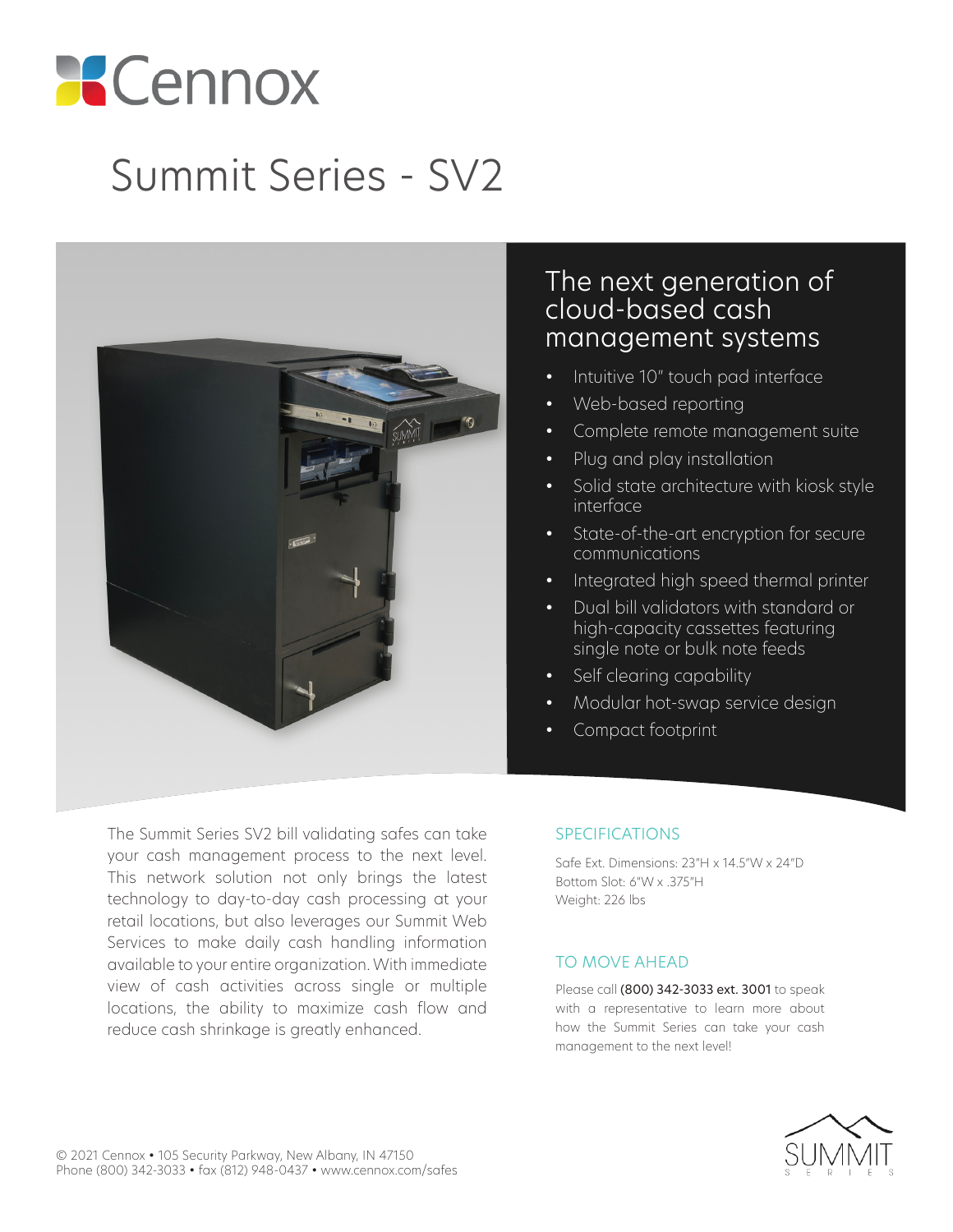# **Cennox**

## Summit Series - SV2



#### The next generation of cloud-based cash management systems

- Intuitive 10" touch pad interface
- Web-based reporting
- Complete remote management suite
- Plug and play installation
- Solid state architecture with kiosk style interface
- State-of-the-art encryption for secure communications
- Integrated high speed thermal printer
- Dual bill validators with standard or high-capacity cassettes featuring single note or bulk note feeds
- Self clearing capability
- Modular hot-swap service design
- Compact footprint

The Summit Series SV2 bill validating safes can take your cash management process to the next level. This network solution not only brings the latest technology to day-to-day cash processing at your retail locations, but also leverages our Summit Web Services to make daily cash handling information available to your entire organization. With immediate view of cash activities across single or multiple locations, the ability to maximize cash flow and reduce cash shrinkage is greatly enhanced.

#### SPECIFICATIONS

Safe Ext. Dimensions: 23"H x 14.5"W x 24"D Bottom Slot: 6"W x .375"H Weight: 226 lbs

#### TO MOVE AHEAD

Please call (800) 342-3033 ext. 3001 to speak with a representative to learn more about how the Summit Series can take your cash management to the next level!